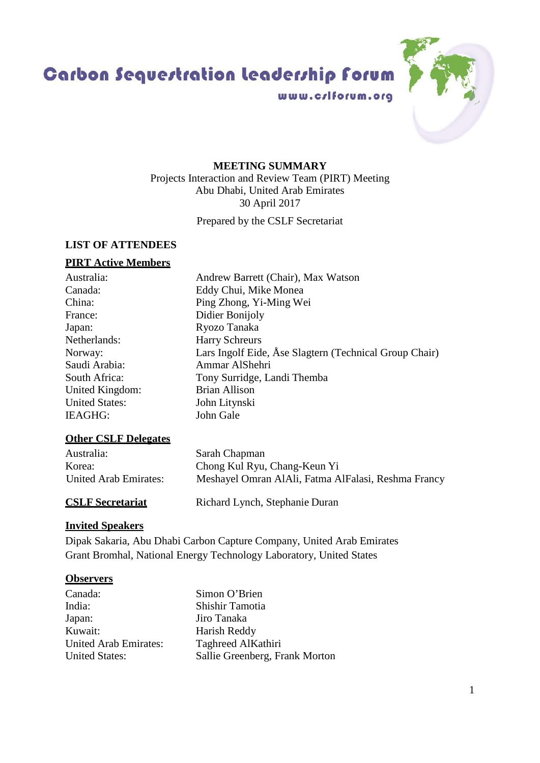1

## Abu Dhabi, United Arab Emirates 30 April 2017 Prepared by the CSLF Secretariat **LIST OF ATTENDEES PIRT Active Members** Australia: Andrew Barrett (Chair), Max Watson Canada: Eddy Chui, Mike Monea China: Ping Zhong, Yi-Ming Wei France: Didier Bonijoly Japan: Ryozo Tanaka Netherlands: Harry Schreurs Saudi Arabia: Ammar AlShehri South Africa: Tony Surridge, Landi Themba United Kingdom: Brian Allison United States: John Litynski<br>IEAGHG: John Gale  $IEAGHG:$ **Other CSLF Delegates** Australia: Sarah Chapman Korea: Chong Kul Ryu, Chang-Keun Yi

# **CSLF Secretariat** Richard Lynch, Stephanie Duran **Invited Speakers**

Dipak Sakaria, Abu Dhabi Carbon Capture Company, United Arab Emirates Grant Bromhal, National Energy Technology Laboratory, United States

## **Observers**

| Canada:                      | Simon O'Brien                  |
|------------------------------|--------------------------------|
| India:                       | Shishir Tamotia                |
| Japan:                       | Jiro Tanaka                    |
| Kuwait:                      | Harish Reddy                   |
| <b>United Arab Emirates:</b> | Taghreed AlKathiri             |
| <b>United States:</b>        | Sallie Greenberg, Frank Morton |

Carbon Sequestration leadership forum

www.criforum.org



## **MEETING SUMMARY**

Projects Interaction and Review Team (PIRT) Meeting

Norway: Lars Ingolf Eide, Åse Slagtern (Technical Group Chair) United Arab Emirates: Meshayel Omran AlAli, Fatma AlFalasi, Reshma Francy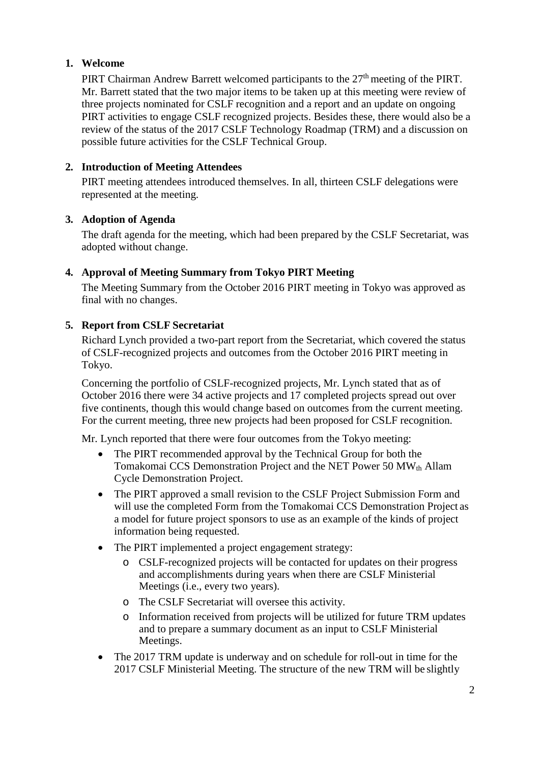## **1. Welcome**

PIRT Chairman Andrew Barrett welcomed participants to the 27<sup>th</sup> meeting of the PIRT. Mr. Barrett stated that the two major items to be taken up at this meeting were review of three projects nominated for CSLF recognition and a report and an update on ongoing PIRT activities to engage CSLF recognized projects. Besides these, there would also be a review of the status of the 2017 CSLF Technology Roadmap (TRM) and a discussion on possible future activities for the CSLF Technical Group.

## **2. Introduction of Meeting Attendees**

PIRT meeting attendees introduced themselves. In all, thirteen CSLF delegations were represented at the meeting.

## **3. Adoption of Agenda**

The draft agenda for the meeting, which had been prepared by the CSLF Secretariat, was adopted without change.

## **4. Approval of Meeting Summary from Tokyo PIRT Meeting**

The Meeting Summary from the October 2016 PIRT meeting in Tokyo was approved as final with no changes.

## **5. Report from CSLF Secretariat**

Richard Lynch provided a two-part report from the Secretariat, which covered the status of CSLF-recognized projects and outcomes from the October 2016 PIRT meeting in Tokyo.

Concerning the portfolio of CSLF-recognized projects, Mr. Lynch stated that as of October 2016 there were 34 active projects and 17 completed projects spread out over five continents, though this would change based on outcomes from the current meeting. For the current meeting, three new projects had been proposed for CSLF recognition.

Mr. Lynch reported that there were four outcomes from the Tokyo meeting:

- The PIRT recommended approval by the Technical Group for both the Tomakomai CCS Demonstration Project and the NET Power 50 MWth Allam Cycle Demonstration Project.
- The PIRT approved a small revision to the CSLF Project Submission Form and will use the completed Form from the Tomakomai CCS Demonstration Project as a model for future project sponsors to use as an example of the kinds of project information being requested.
- The PIRT implemented a project engagement strategy:
	- o CSLF-recognized projects will be contacted for updates on their progress and accomplishments during years when there are CSLF Ministerial Meetings (i.e., every two years).
	- o The CSLF Secretariat will oversee this activity.
	- o Information received from projects will be utilized for future TRM updates and to prepare a summary document as an input to CSLF Ministerial Meetings.
- The 2017 TRM update is underway and on schedule for roll-out in time for the 2017 CSLF Ministerial Meeting. The structure of the new TRM will be slightly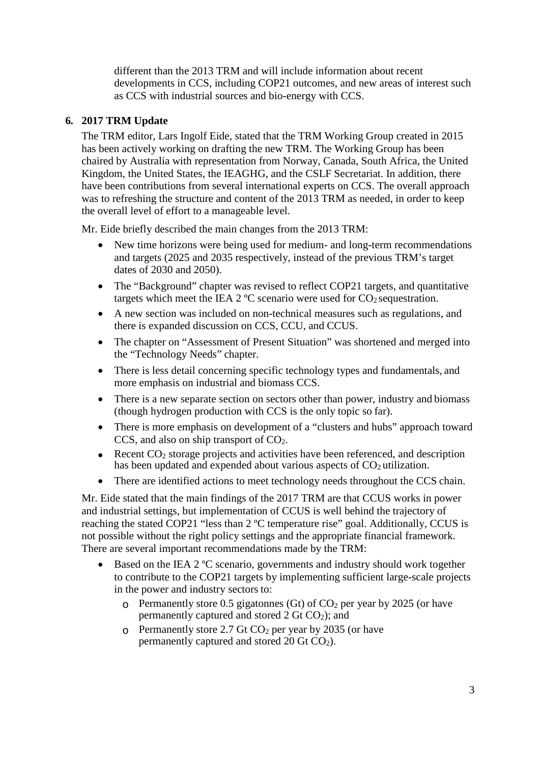different than the 2013 TRM and will include information about recent developments in CCS, including COP21 outcomes, and new areas of interest such as CCS with industrial sources and bio-energy with CCS.

#### **6. 2017 TRM Update**

The TRM editor, Lars Ingolf Eide, stated that the TRM Working Group created in 2015 has been actively working on drafting the new TRM. The Working Group has been chaired by Australia with representation from Norway, Canada, South Africa, the United Kingdom, the United States, the IEAGHG, and the CSLF Secretariat. In addition, there have been contributions from several international experts on CCS. The overall approach was to refreshing the structure and content of the 2013 TRM as needed, in order to keep the overall level of effort to a manageable level.

Mr. Eide briefly described the main changes from the 2013 TRM:

- New time horizons were being used for medium- and long-term recommendations and targets (2025 and 2035 respectively, instead of the previous TRM's target dates of 2030 and 2050).
- The "Background" chapter was revised to reflect COP21 targets, and quantitative targets which meet the IEA  $2^{\circ}$ C scenario were used for CO<sub>2</sub> sequestration.
- A new section was included on non-technical measures such as regulations, and there is expanded discussion on CCS, CCU, and CCUS.
- The chapter on "Assessment of Present Situation" was shortened and merged into the "Technology Needs" chapter.
- There is less detail concerning specific technology types and fundamentals, and more emphasis on industrial and biomass CCS.
- There is a new separate section on sectors other than power, industry and biomass (though hydrogen production with CCS is the only topic so far).
- There is more emphasis on development of a "clusters and hubs" approach toward CCS, and also on ship transport of CO2.
- Recent  $CO<sub>2</sub>$  storage projects and activities have been referenced, and description has been updated and expended about various aspects of  $CO<sub>2</sub>$  utilization.
- There are identified actions to meet technology needs throughout the CCS chain.

Mr. Eide stated that the main findings of the 2017 TRM are that CCUS works in power and industrial settings, but implementation of CCUS is well behind the trajectory of reaching the stated COP21 "less than 2 ºC temperature rise" goal. Additionally, CCUS is not possible without the right policy settings and the appropriate financial framework. There are several important recommendations made by the TRM:

- Based on the IEA 2 °C scenario, governments and industry should work together to contribute to the COP21 targets by implementing sufficient large-scale projects in the power and industry sectors to:
	- $\degree$  Permanently store 0.5 gigatonnes (Gt) of CO<sub>2</sub> per year by 2025 (or have permanently captured and stored 2 Gt CO2); and
	- $\degree$  Permanently store 2.7 Gt CO<sub>2</sub> per year by 2035 (or have permanently captured and stored  $20 \text{ Gt CO}_2$ ).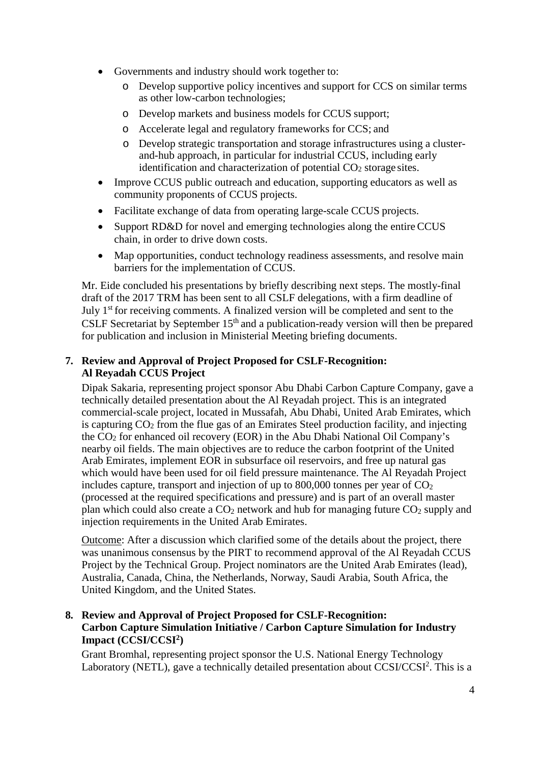- Governments and industry should work together to:
	- o Develop supportive policy incentives and support for CCS on similar terms as other low-carbon technologies;
	- o Develop markets and business models for CCUS support;
	- o Accelerate legal and regulatory frameworks for CCS; and
	- o Develop strategic transportation and storage infrastructures using a clusterand-hub approach, in particular for industrial CCUS, including early identification and characterization of potential  $CO<sub>2</sub>$  storage sites.
- Improve CCUS public outreach and education, supporting educators as well as community proponents of CCUS projects.
- Facilitate exchange of data from operating large-scale CCUS projects.
- Support RD&D for novel and emerging technologies along the entire CCUS chain, in order to drive down costs.
- Map opportunities, conduct technology readiness assessments, and resolve main barriers for the implementation of CCUS.

Mr. Eide concluded his presentations by briefly describing next steps. The mostly-final draft of the 2017 TRM has been sent to all CSLF delegations, with a firm deadline of July 1<sup>st</sup> for receiving comments. A finalized version will be completed and sent to the CSLF Secretariat by September  $15<sup>th</sup>$  and a publication-ready version will then be prepared for publication and inclusion in Ministerial Meeting briefing documents.

## **7. Review and Approval of Project Proposed for CSLF-Recognition: Al Reyadah CCUS Project**

Dipak Sakaria, representing project sponsor Abu Dhabi Carbon Capture Company, gave a technically detailed presentation about the Al Reyadah project. This is an integrated commercial-scale project, located in Mussafah, Abu Dhabi, United Arab Emirates, which is capturing CO2 from the flue gas of an Emirates Steel production facility, and injecting the CO2 for enhanced oil recovery (EOR) in the Abu Dhabi National Oil Company's nearby oil fields. The main objectives are to reduce the carbon footprint of the United Arab Emirates, implement EOR in subsurface oil reservoirs, and free up natural gas which would have been used for oil field pressure maintenance. The Al Reyadah Project includes capture, transport and injection of up to 800,000 tonnes per year of  $CO<sub>2</sub>$ (processed at the required specifications and pressure) and is part of an overall master plan which could also create a  $CO<sub>2</sub>$  network and hub for managing future  $CO<sub>2</sub>$  supply and injection requirements in the United Arab Emirates.

Outcome: After a discussion which clarified some of the details about the project, there was unanimous consensus by the PIRT to recommend approval of the Al Reyadah CCUS Project by the Technical Group. Project nominators are the United Arab Emirates (lead), Australia, Canada, China, the Netherlands, Norway, Saudi Arabia, South Africa, the United Kingdom, and the United States.

#### **8. Review and Approval of Project Proposed for CSLF-Recognition: Carbon Capture Simulation Initiative / Carbon Capture Simulation for Industry Impact (CCSI/CCSI2)**

Grant Bromhal, representing project sponsor the U.S. National Energy Technology Laboratory (NETL), gave a technically detailed presentation about CCSI/CCSI<sup>2</sup>. This is a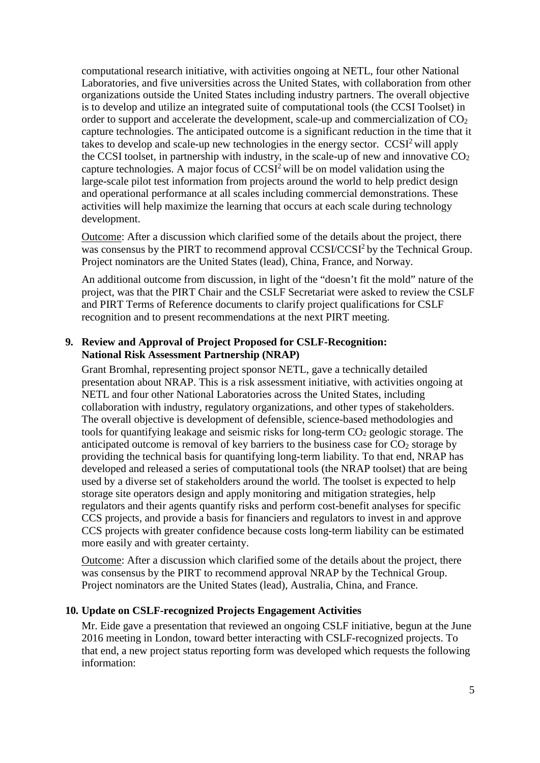computational research initiative, with activities ongoing at NETL, four other National Laboratories, and five universities across the United States, with collaboration from other organizations outside the United States including industry partners. The overall objective is to develop and utilize an integrated suite of computational tools (the CCSI Toolset) in order to support and accelerate the development, scale-up and commercialization of CO<sub>2</sub> capture technologies. The anticipated outcome is a significant reduction in the time that it takes to develop and scale-up new technologies in the energy sector.  $CCSI<sup>2</sup>$  will apply the CCSI toolset, in partnership with industry, in the scale-up of new and innovative  $CO<sub>2</sub>$ capture technologies. A major focus of CCSI2 will be on model validation using the large-scale pilot test information from projects around the world to help predict design and operational performance at all scales including commercial demonstrations. These activities will help maximize the learning that occurs at each scale during technology development.

Outcome: After a discussion which clarified some of the details about the project, there was consensus by the PIRT to recommend approval CCSI/CCSI<sup>2</sup> by the Technical Group. Project nominators are the United States (lead), China, France, and Norway.

An additional outcome from discussion, in light of the "doesn't fit the mold" nature of the project, was that the PIRT Chair and the CSLF Secretariat were asked to review the CSLF and PIRT Terms of Reference documents to clarify project qualifications for CSLF recognition and to present recommendations at the next PIRT meeting.

#### **9. Review and Approval of Project Proposed for CSLF-Recognition: National Risk Assessment Partnership (NRAP)**

Grant Bromhal, representing project sponsor NETL, gave a technically detailed presentation about NRAP. This is a risk assessment initiative, with activities ongoing at NETL and four other National Laboratories across the United States, including collaboration with industry, regulatory organizations, and other types of stakeholders. The overall objective is development of defensible, science-based methodologies and tools for quantifying leakage and seismic risks for long-term  $CO<sub>2</sub>$  geologic storage. The anticipated outcome is removal of key barriers to the business case for  $CO<sub>2</sub>$  storage by providing the technical basis for quantifying long-term liability. To that end, NRAP has developed and released a series of computational tools (the NRAP toolset) that are being used by a diverse set of stakeholders around the world. The toolset is expected to help storage site operators design and apply monitoring and mitigation strategies, help regulators and their agents quantify risks and perform cost-benefit analyses for specific CCS projects, and provide a basis for financiers and regulators to invest in and approve CCS projects with greater confidence because costs long-term liability can be estimated more easily and with greater certainty.

Outcome: After a discussion which clarified some of the details about the project, there was consensus by the PIRT to recommend approval NRAP by the Technical Group. Project nominators are the United States (lead), Australia, China, and France.

#### **10. Update on CSLF-recognized Projects Engagement Activities**

Mr. Eide gave a presentation that reviewed an ongoing CSLF initiative, begun at the June 2016 meeting in London, toward better interacting with CSLF-recognized projects. To that end, a new project status reporting form was developed which requests the following information: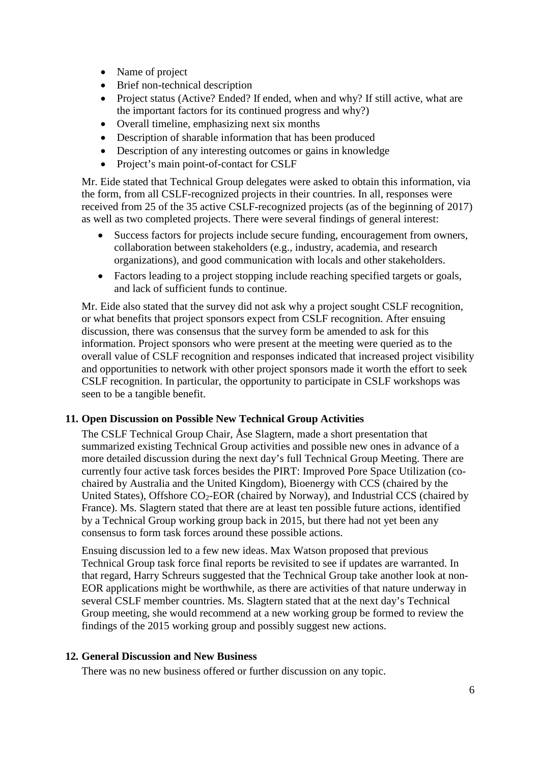- Name of project
- Brief non-technical description
- Project status (Active? Ended? If ended, when and why? If still active, what are the important factors for its continued progress and why?)
- Overall timeline, emphasizing next six months
- Description of sharable information that has been produced
- Description of any interesting outcomes or gains in knowledge
- Project's main point-of-contact for CSLF

Mr. Eide stated that Technical Group delegates were asked to obtain this information, via the form, from all CSLF-recognized projects in their countries. In all, responses were received from 25 of the 35 active CSLF-recognized projects (as of the beginning of 2017) as well as two completed projects. There were several findings of general interest:

- Success factors for projects include secure funding, encouragement from owners, collaboration between stakeholders (e.g., industry, academia, and research organizations), and good communication with locals and other stakeholders.
- Factors leading to a project stopping include reaching specified targets or goals, and lack of sufficient funds to continue.

Mr. Eide also stated that the survey did not ask why a project sought CSLF recognition, or what benefits that project sponsors expect from CSLF recognition. After ensuing discussion, there was consensus that the survey form be amended to ask for this information. Project sponsors who were present at the meeting were queried as to the overall value of CSLF recognition and responses indicated that increased project visibility and opportunities to network with other project sponsors made it worth the effort to seek CSLF recognition. In particular, the opportunity to participate in CSLF workshops was seen to be a tangible benefit.

#### **11. Open Discussion on Possible New Technical Group Activities**

The CSLF Technical Group Chair, Åse Slagtern, made a short presentation that summarized existing Technical Group activities and possible new ones in advance of a more detailed discussion during the next day's full Technical Group Meeting. There are currently four active task forces besides the PIRT: Improved Pore Space Utilization (cochaired by Australia and the United Kingdom), Bioenergy with CCS (chaired by the United States), Offshore CO<sub>2</sub>-EOR (chaired by Norway), and Industrial CCS (chaired by France). Ms. Slagtern stated that there are at least ten possible future actions, identified by a Technical Group working group back in 2015, but there had not yet been any consensus to form task forces around these possible actions.

Ensuing discussion led to a few new ideas. Max Watson proposed that previous Technical Group task force final reports be revisited to see if updates are warranted. In that regard, Harry Schreurs suggested that the Technical Group take another look at non-EOR applications might be worthwhile, as there are activities of that nature underway in several CSLF member countries. Ms. Slagtern stated that at the next day's Technical Group meeting, she would recommend at a new working group be formed to review the findings of the 2015 working group and possibly suggest new actions.

#### **12. General Discussion and New Business**

There was no new business offered or further discussion on any topic.